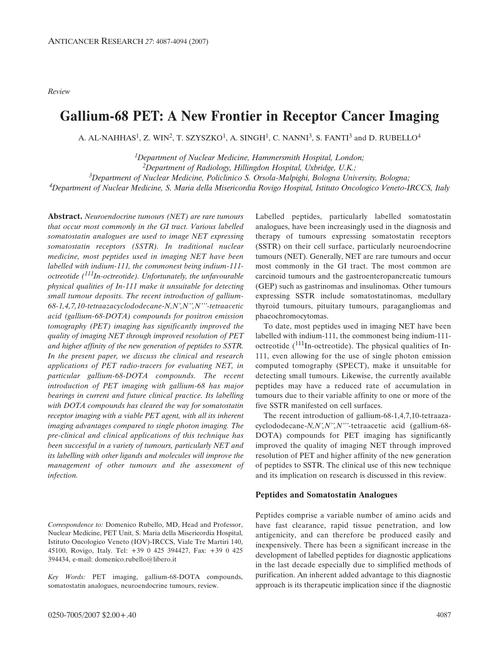*Review*

# **Gallium-68 PET: A New Frontier in Receptor Cancer Imaging**

A. AL-NAHHAS<sup>1</sup>, Z. WIN<sup>2</sup>, T. SZYSZKO<sup>1</sup>, A. SINGH<sup>1</sup>, C. NANNI<sup>3</sup>, S. FANTI<sup>3</sup> and D. RUBELLO<sup>4</sup>

*1Department of Nuclear Medicine, Hammersmith Hospital, London; 2Department of Radiology, Hillingdon Hospital, Uxbridge, U.K.; 3Department of Nuclear Medicine, Policlinico S. Orsola-Malpighi, Bologna University, Bologna; 4Department of Nuclear Medicine, S. Maria della Misericordia Rovigo Hospital, Istituto Oncologico Veneto-IRCCS, Italy*

**Abstract.** *Neuroendocrine tumours (NET) are rare tumours that occur most commonly in the GI tract. Various labelled somatostatin analogues are used to image NET expressing somatostatin receptors (SSTR). In traditional nuclear medicine, most peptides used in imaging NET have been labelled with indium-111, the commonest being indium-111 octreotide (111In-octreotide). Unfortunately, the unfavourable physical qualities of In-111 make it unsuitable for detecting small tumour deposits. The recent introduction of gallium-68-1,4,7,10-tetraazacyclododecane-N,N',N'',N'''-tetraacetic acid (gallium-68-DOTA) compounds for positron emission tomography (PET) imaging has significantly improved the quality of imaging NET through improved resolution of PET and higher affinity of the new generation of peptides to SSTR. In the present paper, we discuss the clinical and research applications of PET radio-tracers for evaluating NET, in particular gallium-68-DOTA compounds. The recent introduction of PET imaging with gallium-68 has major bearings in current and future clinical practice. Its labelling with DOTA compounds has cleared the way for somatostatin receptor imaging with a viable PET agent, with all its inherent imaging advantages compared to single photon imaging. The pre-clinical and clinical applications of this technique has been successful in a variety of tumours, particularly NET and its labelling with other ligands and molecules will improve the management of other tumours and the assessment of infection.* 

*Correspondence to:* Domenico Rubello, MD, Head and Professor, Nuclear Medicine, PET Unit, S. Maria della Misericordia Hospital, Istituto Oncologico Veneto (IOV)-IRCCS, Viale Tre Martiri 140, 45100, Rovigo, Italy. Tel: +39 0 425 394427, Fax: +39 0 425 394434, e-mail: domenico.rubello@libero.it

*Key Words:* PET imaging, gallium-68-DOTA compounds, somatostatin analogues, neuroendocrine tumours, review.

Labelled peptides, particularly labelled somatostatin analogues, have been increasingly used in the diagnosis and therapy of tumours expressing somatostatin receptors (SSTR) on their cell surface, particularly neuroendocrine tumours (NET). Generally, NET are rare tumours and occur most commonly in the GI tract. The most common are carcinoid tumours and the gastroenteropancreatic tumours (GEP) such as gastrinomas and insulinomas. Other tumours expressing SSTR include somatostatinomas, medullary thyroid tumours, pituitary tumours, paragangliomas and phaeochromocytomas.

To date, most peptides used in imaging NET have been labelled with indium-111, the commonest being indium-111 octreotide  $(111$ In-octreotide). The physical qualities of In-111, even allowing for the use of single photon emission computed tomography (SPECT), make it unsuitable for detecting small tumours. Likewise, the currently available peptides may have a reduced rate of accumulation in tumours due to their variable affinity to one or more of the five SSTR manifested on cell surfaces.

The recent introduction of gallium-68-1,4,7,10-tetraazacyclododecane-*N,N',N'',N'''-*tetraacetic acid (gallium-68- DOTA) compounds for PET imaging has significantly improved the quality of imaging NET through improved resolution of PET and higher affinity of the new generation of peptides to SSTR. The clinical use of this new technique and its implication on research is discussed in this review.

#### **Peptides and Somatostatin Analogues**

Peptides comprise a variable number of amino acids and have fast clearance, rapid tissue penetration, and low antigenicity, and can therefore be produced easily and inexpensively. There has been a significant increase in the development of labelled peptides for diagnostic applications in the last decade especially due to simplified methods of purification. An inherent added advantage to this diagnostic approach is its therapeutic implication since if the diagnostic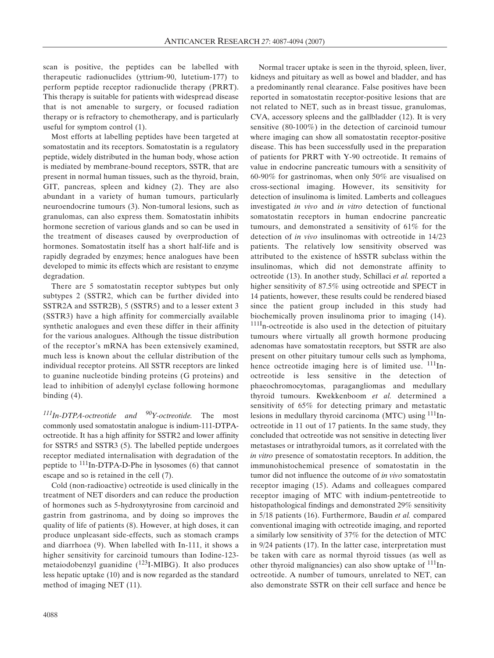scan is positive, the peptides can be labelled with therapeutic radionuclides (yttrium-90, lutetium-177) to perform peptide receptor radionuclide therapy (PRRT). This therapy is suitable for patients with widespread disease that is not amenable to surgery, or focused radiation therapy or is refractory to chemotherapy, and is particularly useful for symptom control (1).

Most efforts at labelling peptides have been targeted at somatostatin and its receptors. Somatostatin is a regulatory peptide, widely distributed in the human body, whose action is mediated by membrane-bound receptors, SSTR, that are present in normal human tissues, such as the thyroid, brain, GIT, pancreas, spleen and kidney (2). They are also abundant in a variety of human tumours, particularly neuroendocrine tumours (3). Non-tumoral lesions, such as granulomas, can also express them. Somatostatin inhibits hormone secretion of various glands and so can be used in the treatment of diseases caused by overproduction of hormones. Somatostatin itself has a short half-life and is rapidly degraded by enzymes; hence analogues have been developed to mimic its effects which are resistant to enzyme degradation.

There are 5 somatostatin receptor subtypes but only subtypes 2 (SSTR2, which can be further divided into SSTR2A and SSTR2B), 5 (SSTR5) and to a lesser extent 3 (SSTR3) have a high affinity for commercially available synthetic analogues and even these differ in their affinity for the various analogues. Although the tissue distribution of the receptor's mRNA has been extensively examined, much less is known about the cellular distribution of the individual receptor proteins. All SSTR receptors are linked to guanine nucleotide binding proteins (G proteins) and lead to inhibition of adenylyl cyclase following hormone binding (4).

*111In-DTPA-octreotide and 90Y-octreotide.* The most commonly used somatostatin analogue is indium-111-DTPAoctreotide. It has a high affinity for SSTR2 and lower affinity for SSTR5 and SSTR3 (5). The labelled peptide undergoes receptor mediated internalisation with degradation of the peptide to 111In-DTPA-D-Phe in lysosomes (6) that cannot escape and so is retained in the cell (7).

Cold (non-radioactive) octreotide is used clinically in the treatment of NET disorders and can reduce the production of hormones such as 5-hydroxytyrosine from carcinoid and gastrin from gastrinoma, and by doing so improves the quality of life of patients (8). However, at high doses, it can produce unpleasant side-effects, such as stomach cramps and diarrhoea (9). When labelled with In-111, it shows a higher sensitivity for carcinoid tumours than Iodine-123 metaiodobenzyl guanidine  $(^{123}I-MIBG)$ . It also produces less hepatic uptake (10) and is now regarded as the standard method of imaging NET (11).

Normal tracer uptake is seen in the thyroid, spleen, liver, kidneys and pituitary as well as bowel and bladder, and has a predominantly renal clearance. False positives have been reported in somatostatin receptor-positive lesions that are not related to NET, such as in breast tissue, granulomas, CVA, accessory spleens and the gallbladder (12). It is very sensitive (80-100%) in the detection of carcinoid tumour where imaging can show all somatostatin receptor-positive disease. This has been successfully used in the preparation of patients for PRRT with Y-90 octreotide. It remains of value in endocrine pancreatic tumours with a sensitivity of 60-90% for gastrinomas, when only 50% are visualised on cross-sectional imaging. However, its sensitivity for detection of insulinoma is limited. Lamberts and colleagues investigated *in vivo* and *in vitro* detection of functional somatostatin receptors in human endocrine pancreatic tumours, and demonstrated a sensitivity of 61% for the detection of *in vivo* insulinomas with octreotide in 14/23 patients. The relatively low sensitivity observed was attributed to the existence of hSSTR subclass within the insulinomas, which did not demonstrate affinity to octreotide (13). In another study, Schillaci *et al.* reported a higher sensitivity of 87.5% using octreotide and SPECT in 14 patients, however, these results could be rendered biased since the patient group included in this study had biochemically proven insulinoma prior to imaging (14). <sup>111I</sup>n-octreotide is also used in the detection of pituitary tumours where virtually all growth hormone producing adenomas have somatostatin receptors, but SSTR are also present on other pituitary tumour cells such as lymphoma, hence octreotide imaging here is of limited use.  $^{111}$ Inoctreotide is less sensitive in the detection of phaeochromocytomas, paragangliomas and medullary thyroid tumours. Kwekkenboom *et al.* determined a sensitivity of 65% for detecting primary and metastatic lesions in medullary thyroid carcinoma (MTC) using  $\frac{111}{\text{In}}$ octreotide in 11 out of 17 patients. In the same study, they concluded that octreotide was not sensitive in detecting liver metastases or intrathyroidal tumors, as it correlated with the *in vitro* presence of somatostatin receptors. In addition, the immunohistochemical presence of somatostatin in the tumor did not influence the outcome of *in vivo* somatostatin receptor imaging (15). Adams and colleagues compared receptor imaging of MTC with indium-pentetreotide to histopathological findings and demonstrated 29% sensitivity in 5/18 patients (16). Furthermore, Baudin *et al.* compared conventional imaging with octreotide imaging, and reported a similarly low sensitivity of 37% for the detection of MTC in 9/24 patients (17). In the latter case, interpretation must be taken with care as normal thyroid tissues (as well as other thyroid malignancies) can also show uptake of  $^{111}$ Inoctreotide. A number of tumours, unrelated to NET, can also demonstrate SSTR on their cell surface and hence be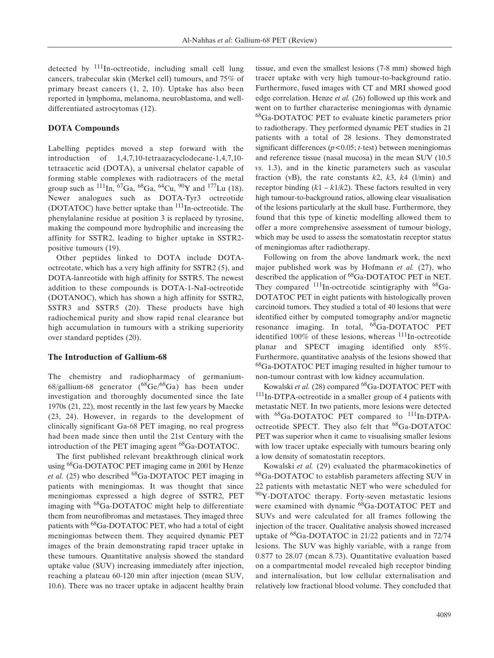detected by  $111$ In-octreotide, including small cell lung cancers, trabecular skin (Merkel cell) tumours, and 75% of primary breast cancers (1, 2, 10). Uptake has also been reported in lymphoma, melanoma, neuroblastoma, and welldifferentiated astrocytomas (12).

### **DOTA Compounds**

Labelling peptides moved a step forward with the introduction of 1,4,7,10-tetraazacyclodecane-1,4,7,10 tetraacetic acid (DOTA), a universal chelator capable of forming stable complexes with radiotracers of the metal group such as  $^{111}$ In,  $^{67}$ Ga,  $^{68}$ Ga,  $^{64}$ Cu,  $^{90}$ Y and  $^{177}$ Lu (18). Newer analogues such as DOTA-Tyr3 octreotide (DOTATOC) have better uptake than  $111$ In-octreotide. The phenylalanine residue at position 3 is replaced by tyrosine, making the compound more hydrophilic and increasing the affinity for SSTR2, leading to higher uptake in SSTR2 positive tumours (19).

Other peptides linked to DOTA include DOTAoctreotate, which has a very high affinity for SSTR2 (5), and DOTA-lanreotide with high affinity for SSTR5. The newest addition to these compounds is DOTA-1-NaI-octreotide (DOTANOC), which has shown a high affinity for SSTR2, SSTR3 and SSTR5 (20). These products have high radiochemical purity and show rapid renal clearance but high accumulation in tumours with a striking superiority over standard peptides (20).

#### **The Introduction of Gallium-68**

The chemistry and radiopharmacy of germanium-68/gallium-68 generator  $(^{68}Ge^{68}Ga)$  has been under investigation and thoroughly documented since the late 1970s (21, 22), most recently in the last few years by Maecke (23, 24). However, in regards to the development of clinically significant Ga-68 PET imaging, no real progress had been made since then until the 21st Century with the introduction of the PET imaging agent <sup>68</sup>Ga-DOTATOC.

The first published relevant breakthrough clinical work using 68Ga-DOTATOC PET imaging came in 2001 by Henze *et al.* (25) who described <sup>68</sup>Ga-DOTATOC PET imaging in patients with meningiomas. It was thought that since meningiomas expressed a high degree of SSTR2, PET imaging with 68Ga-DOTATOC might help to differentiate them from neurofibromas and metastases. They imaged three patients with <sup>68</sup>Ga-DOTATOC PET, who had a total of eight meningiomas between them. They acquired dynamic PET images of the brain demonstrating rapid tracer uptake in these tumours. Quantitative analysis showed the standard uptake value (SUV) increasing immediately after injection, reaching a plateau 60-120 min after injection (mean SUV, 10.6). There was no tracer uptake in adjacent healthy brain tissue, and even the smallest lesions (7-8 mm) showed high tracer uptake with very high tumour-to-background ratio. Furthermore, fused images with CT and MRI showed good edge correlation. Henze *et al.* (26) followed up this work and went on to further characterise meningiomas with dynamic 68Ga-DOTATOC PET to evaluate kinetic parameters prior to radiotherapy. They performed dynamic PET studies in 21 patients with a total of 28 lesions. They demonstrated significant differences (*p<*0.05; *t-*test) between meningiomas and reference tissue (nasal mucosa) in the mean SUV (10.5 *vs.* 1.3), and in the kinetic parameters such as vascular fraction (vB), the rate constants  $k2$ ,  $k3$ ,  $k4$  (l/min) and receptor binding  $(k1 - k1/k2)$ . These factors resulted in very high tumour-to-background ratios, allowing clear visualisation of the lesions particularly at the skull base. Furthermore, they found that this type of kinetic modelling allowed them to offer a more comprehensive assessment of tumour biology, which may be used to assess the somatostatin receptor status of meningiomas after radiotherapy.

Following on from the above landmark work, the next major published work was by Hofmann *et al.* (27), who described the application of <sup>68</sup>Ga-DOTATOC PET in NET. They compared  $^{111}$ In-octreotide scintigraphy with  $^{68}$ Ga-DOTATOC PET in eight patients with histologically proven carcinoid tumors. They studied a total of 40 lesions that were identified either by computed tomography and/or magnetic resonance imaging. In total, 68Ga-DOTATOC PET identified  $100\%$  of these lesions, whereas  $^{111}$ In-octreotide planar and SPECT imaging identified only 85%. Furthermore, quantitative analysis of the lesions showed that 68Ga-DOTATOC PET imaging resulted in higher tumour to non-tumour contrast with low kidney accumulation.

Kowalski et al. (28) compared <sup>68</sup>Ga-DOTATOC PET with 111In-DTPA-octreotide in a smaller group of 4 patients with metastatic NET. In two patients, more lesions were detected with <sup>68</sup>Ga-DOTATOC PET compared to <sup>111</sup>In-DTPAoctreotide SPECT. They also felt that 68Ga-DOTATOC PET was superior when it came to visualising smaller lesions with low tracer uptake especially with tumours bearing only a low density of somatostatin receptors.

Kowalski *et al.* (29) evaluated the pharmacokinetics of 68Ga-DOTATOC to establish parameters affecting SUV in 22 patients with metastatic NET who were scheduled for <sup>90</sup>Y-DOTATOC therapy. Forty-seven metastatic lesions were examined with dynamic 68Ga-DOTATOC PET and SUVs and were calculated for all frames following the injection of the tracer. Qualitative analysis showed increased uptake of 68Ga-DOTATOC in 21/22 patients and in 72/74 lesions. The SUV was highly variable, with a range from 0.877 to 28.07 (mean 8.73). Quantitative evaluation based on a compartmental model revealed high receptor binding and internalisation, but low cellular externalisation and relatively low fractional blood volume. They concluded that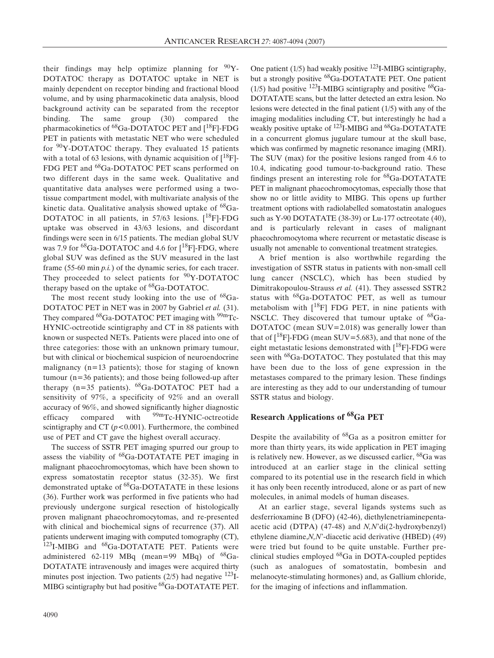their findings may help optimize planning for  $90Y$ -DOTATOC therapy as DOTATOC uptake in NET is mainly dependent on receptor binding and fractional blood volume, and by using pharmacokinetic data analysis, blood background activity can be separated from the receptor binding. The same group (30) compared the pharmacokinetics of <sup>68</sup>Ga-DOTATOC PET and [<sup>18</sup>F]-FDG PET in patients with metastatic NET who were scheduled for 90Y-DOTATOC therapy. They evaluated 15 patients with a total of 63 lesions, with dynamic acquisition of  $\binom{18}{1}$ -FDG PET and <sup>68</sup>Ga-DOTATOC PET scans performed on two different days in the same week. Qualitative and quantitative data analyses were performed using a twotissue compartment model, with multivariate analysis of the kinetic data. Qualitative analysis showed uptake of <sup>68</sup>Ga-DOTATOC in all patients, in  $57/63$  lesions.  $[18F]$ -FDG uptake was observed in 43/63 lesions, and discordant findings were seen in 6/15 patients. The median global SUV was 7.9 for  ${}^{68}Ga$ -DOTATOC and 4.6 for  $[{}^{18}F]$ -FDG, where global SUV was defined as the SUV measured in the last frame (55-60 min *p.i.*) of the dynamic series, for each tracer. They proceeded to select patients for  $90Y-DOTATOC$ therapy based on the uptake of <sup>68</sup>Ga-DOTATOC.

The most recent study looking into the use of  $^{68}$ Ga-DOTATOC PET in NET was in 2007 by Gabriel *et al.* (31). They compared  $^{68}$ Ga-DOTATOC PET imaging with  $^{99m}$ Tc-HYNIC-octreotide scintigraphy and CT in 88 patients with known or suspected NETs. Patients were placed into one of three categories: those with an unknown primary tumour, but with clinical or biochemical suspicion of neuroendocrine malignancy  $(n=13$  patients); those for staging of known tumour (n=36 patients); and those being followed-up after therapy  $(n=35 \text{ patients})$ .  $^{68}Ga-DOTATOC$  PET had a sensitivity of 97%, a specificity of 92% and an overall accuracy of 96%, and showed significantly higher diagnostic efficacy compared with <sup>99m</sup>Tc-HYNIC-octreotide scintigraphy and CT (*p<*0.001). Furthermore, the combined use of PET and CT gave the highest overall accuracy.

The success of SSTR PET imaging spurred our group to assess the viability of  ${}^{68}Ga$ -DOTATATE PET imaging in malignant phaeochromocytomas, which have been shown to express somatostatin receptor status (32-35). We first demonstrated uptake of <sup>68</sup>Ga-DOTATATE in these lesions (36). Further work was performed in five patients who had previously undergone surgical resection of histologically proven malignant phaeochromocytomas, and re-presented with clinical and biochemical signs of recurrence (37). All patients underwent imaging with computed tomography (CT), <sup>123</sup>I-MIBG and <sup>68</sup>Ga-DOTATATE PET. Patients were administered 62-119 MBq (mean=99 MBq) of  $^{68}Ga-$ DOTATATE intravenously and images were acquired thirty minutes post injection. Two patients  $(2/5)$  had negative  $^{123}I$ -MIBG scintigraphy but had positive  $^{68}$ Ga-DOTATATE PET.

One patient  $(1/5)$  had weakly positive  $123$ I-MIBG scintigraphy, but a strongly positive 68Ga-DOTATATE PET. One patient (1/5) had positive  $^{123}$ I-MIBG scintigraphy and positive  $^{68}$ Ga-DOTATATE scans, but the latter detected an extra lesion. No lesions were detected in the final patient (1/5) with any of the imaging modalities including CT, but interestingly he had a weakly positive uptake of <sup>123</sup>I-MIBG and <sup>68</sup>Ga-DOTATATE in a concurrent glomus jugulare tumour at the skull base, which was confirmed by magnetic resonance imaging (MRI). The SUV (max) for the positive lesions ranged from 4.6 to 10.4, indicating good tumour-to-background ratio. These findings present an interesting role for  ${}^{68}$ Ga-DOTATATE PET in malignant phaeochromocytomas, especially those that show no or little avidity to MIBG. This opens up further treatment options with radiolabelled somatostatin analogues such as Y-90 DOTATATE (38-39) or Lu-177 octreotate (40), and is particularly relevant in cases of malignant phaeochromocytoma where recurrent or metastatic disease is usually not amenable to conventional treatment strategies.

A brief mention is also worthwhile regarding the investigation of SSTR status in patients with non-small cell lung cancer (NSCLC), which has been studied by Dimitrakopoulou-Strauss *et al.* (41). They assessed SSTR2 status with 68Ga-DOTATOC PET, as well as tumour metabolism with  $[18F]$  FDG PET, in nine patients with NSCLC. They discovered that tumour uptake of  $^{68}Ga-$ DOTATOC (mean SUV=2.018) was generally lower than that of  $[18F]$ -FDG (mean SUV=5.683), and that none of the eight metastatic lesions demonstrated with  $[18F]$ -FDG were seen with <sup>68</sup>Ga-DOTATOC. They postulated that this may have been due to the loss of gene expression in the metastases compared to the primary lesion. These findings are interesting as they add to our understanding of tumour SSTR status and biology.

## **Research Applications of 68Ga PET**

Despite the availability of  $^{68}Ga$  as a positron emitter for more than thirty years, its wide application in PET imaging is relatively new. However, as we discussed earlier,  $^{68}$ Ga was introduced at an earlier stage in the clinical setting compared to its potential use in the research field in which it has only been recently introduced, alone or as part of new molecules, in animal models of human diseases.

At an earlier stage, several ligands systems such as desferrioxamine B (DFO) (42-46), diethylenetriaminepentaacetic acid (DTPA) (47-48) and *N,N*'di(2-hydroxybenzyl) ethylene diamine,*N,N*'-diacetic acid derivative (HBED) (49) were tried but found to be quite unstable. Further preclinical studies employed 68Ga in DOTA-coupled peptides (such as analogues of somatostatin, bombesin and melanocyte-stimulating hormones) and, as Gallium chloride, for the imaging of infections and inflammation.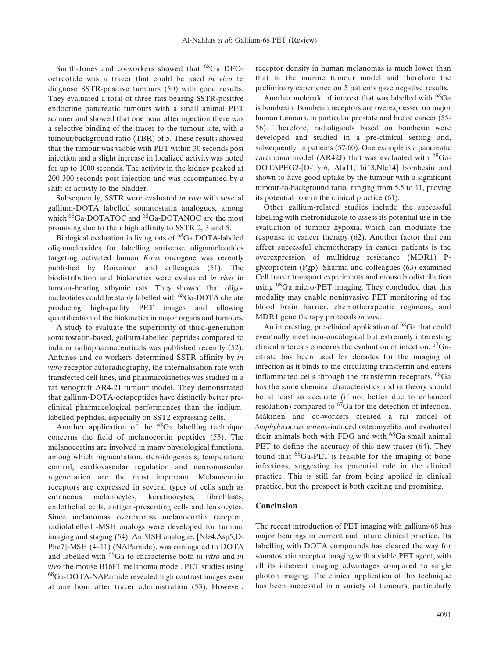Smith-Jones and co-workers showed that 68Ga DFOoctreotide was a tracer that could be used *in vivo* to diagnose SSTR-positive tumours (50) with good results. They evaluated a total of three rats bearing SSTR-positive endocrine pancreatic tumours with a small animal PET scanner and showed that one hour after injection there was a selective binding of the tracer to the tumour site, with a tumour/background ratio (TBR) of 5. These results showed that the tumour was visible with PET within 30 seconds post injection and a slight increase in localized activity was noted for up to 1000 seconds. The activity in the kidney peaked at 200-300 seconds post injection and was accompanied by a shift of activity to the bladder.

Subsequently, SSTR were evaluated *in vivo* with several gallium-DOTA labelled somatostatin analogues, among which <sup>68</sup>Ga-DOTATOC and <sup>68</sup>Ga-DOTANOC are the most promising due to their high affinity to SSTR 2, 3 and 5.

Biological evaluation in living rats of <sup>68</sup>Ga DOTA-labeled oligonucleotides for labelling antisense oligonucleotides targeting activated human *K-ras* oncogene was recently published by Roivainen and colleagues (51). The biodistribution and biokinetics were evaluated *in vivo* in tumour-bearing athymic rats. They showed that oligonucleotides could be stably labelled with <sup>68</sup>Ga-DOTA chelate producing high-quality PET images and allowing quantification of the biokinetics in major organs and tumours.

A study to evaluate the superiority of third-generation somatostatin-based, gallium-labelled peptides compared to indium radiopharmaceuticals was published recently (52). Antunes and co-workers determined SSTR affinity by *in vitro* receptor autoradiography, the internalisation rate with transfected cell lines, and pharmacokinetics was studied in a rat xenograft AR4-2J tumour model. They demonstrated that gallium-DOTA-octapeptides have distinctly better preclinical pharmacological performances than the indiumlabelled peptides, especially on SST2-expressing cells.

Another application of the 68Ga labelling technique concerns the field of melanocortin peptides (53). The melanocortins are involved in many physiological functions, among which pigmentation, steroidogenesis, temperature control, cardiovascular regulation and neuromuscular regeneration are the most important. Melanocortin receptors are expressed in several types of cells such as cutaneous melanocytes, keratinocytes, fibroblasts, endothelial cells, antigen-presenting cells and leukocytes. Since melanomas overexpress melanocortin receptor, radiolabelled -MSH analogs were developed for tumour imaging and staging (54). An MSH analogue, [Nle4,Asp5,D-Phe7]-MSH (4–11) (NAPamide), was conjugated to DOTA and labelled with 68Ga to characterise both *in vitro* and *in vivo* the mouse B16F1 melanoma model. PET studies using <sup>68</sup>Ga-DOTA-NAPamide revealed high contrast images even at one hour after tracer administration (53). However, receptor density in human melanomas is much lower than that in the murine tumour model and therefore the preliminary experience on 5 patients gave negative results.

Another molecule of interest that was labelled with <sup>68</sup>Ga is bombesin. Bombesin receptors are overexpressed on major human tumours, in particular prostate and breast cancer (55- 56). Therefore, radioligands based on bombesin were developed and studied in a pre-clinical setting and, subsequently, in patients (57-60). One example is a pancreatic carcinoma model (AR42J) that was evaluated with  $^{68}Ga-$ DOTAPEG2-[D-Tyr6, Ala11,Thi13,Nle14] bombesin and shown to have good uptake by the tumour with a significant tumour-to-background ratio, ranging from 5.5 to 11, proving its potential role in the clinical practice (61).

Other gallium-related studies include the successful labelling with metronidazole to assess its potential use in the evaluation of tumour hypoxia, which can modulate the response to cancer therapy (62). Another factor that can affect successful chemotherapy in cancer patients is the overexpression of multidrug resistance (MDR1) Pglycoprotein (Pgp). Sharma and colleagues (63) examined Cell tracer transport experiments and mouse biodistribution using <sup>68</sup>Ga micro-PET imaging. They concluded that this modality may enable noninvasive PET monitoring of the blood brain barrier, chemotherapeutic regimens, and MDR1 gene therapy protocols *in vivo*.

An interesting, pre-clinical application of <sup>68</sup>Ga that could eventually meet non-oncological but extremely interesting clinical interests concerns the evaluation of infection. 67Gacitrate has been used for decades for the imaging of infection as it binds to the circulating transferrin and enters inflammated cells through the transferrin receptors. 68Ga has the same chemical characteristics and in theory should be at least as accurate (if not better due to enhanced resolution) compared to  ${}^{67}Ga$  for the detection of infection. Màkinen and co-workers created a rat model of *Staphylococcus aureus*-induced osteomyelitis and evaluated their animals both with FDG and with <sup>68</sup>Ga small animal PET to define the accuracy of this new tracer (64). They found that  ${}^{68}Ga$ -PET is feasible for the imaging of bone infections, suggesting its potential role in the clinical practice. This is still far from being applied in clinical practice, but the prospect is both exciting and promising.

## **Conclusion**

The recent introduction of PET imaging with gallium-68 has major bearings in current and future clinical practice. Its labelling with DOTA compounds has cleared the way for somatostatin receptor imaging with a viable PET agent, with all its inherent imaging advantages compared to single photon imaging. The clinical application of this technique has been successful in a variety of tumours, particularly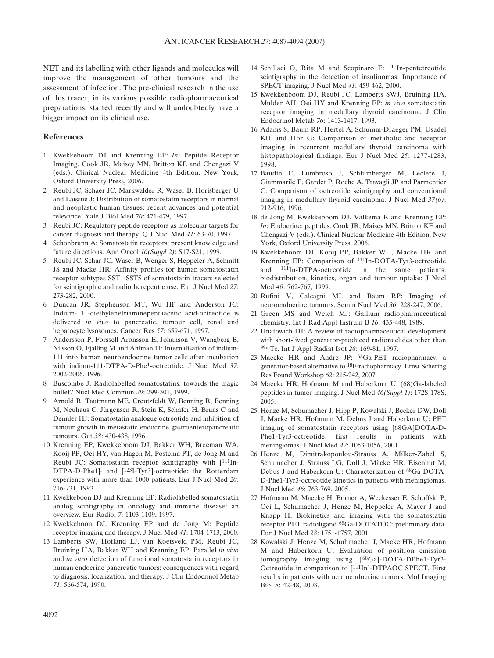NET and its labelling with other ligands and molecules will improve the management of other tumours and the assessment of infection. The pre-clinical research in the use of this tracer, in its various possible radiopharmaceutical preparations, started recently and will undoubtedly have a bigger impact on its clinical use.

## **References**

- 1 Kwekkeboom DJ and Krenning EP: *In*: Peptide Receptor Imaging. Cook JR, Maisey MN, Britton KE and Chengazi V (eds.). Clinical Nuclear Medicine 4th Edition. New York, Oxford University Press, 2006.
- 2 Reubi JC, Schaer JC, Markwalder R, Waser B, Horisberger U and Laissue J: Distribution of somatostatin receptors in normal and neoplastic human tissues: recent advances and potential relevance. Yale J Biol Med *70*: 471-479, 1997.
- 3 Reubi JC: Regulatory peptide receptors as molecular targets for cancer diagnosis and therapy. Q J Nucl Med *41*: 63-70, 1997.
- 4 Schonbrunn A: Somatostatin receptors: present knowledge and future directions. Ann Oncol *10(Suppl 2)*: S17-S21, 1999.
- 5 Reubi JC, Schar JC, Waser B, Wenger S, Heppeler A, Schmitt JS and Macke HR: Affinity profiles for human somatostatin receptor subtypes SST1-SST5 of somatostatin tracers selected for scintigraphic and radiotherepeutic use. Eur J Nucl Med *27*: 273-282, 2000.
- 6 Duncan JR, Stephenson MT, Wu HP and Anderson JC: Indium-111-diethylenetriaminepentaacetic acid-octreotide is delivered *in vivo* to pancreatic, tumour cell, renal and hepatocyte lysosomes. Cancer Res *57*: 659-671, 1997.
- 7 Andersson P, Forssell-Aronsson E, Johanson V, Wangberg B, Nilsson O, Fjalling M and Ahlman H: Internalisation of indium-111 into human neuroendocrine tumor cells after incubation with indium-111-DTPA-D-Phe1-octreotide. J Nucl Med *37*: 2002-2006, 1996.
- 8 Buscombe J: Radiolabelled somatostatins: towards the magic bullet? Nucl Med Commun *20*: 299-301, 1999.
- 9 Arnold R, Tautmann ME, Creutzfeldt W, Benning R, Benning M, Neuhaus C, Jùrgensen R, Stein K, Schàfer H, Bruns C and Dennler HJ: Somatostatin analogue octreotide and inhibition of tumour growth in metastatic endocrine gastroenteropancreatic tumours. Gut *38*: 430-438, 1996.
- 10 Krenning EP, Kwekkeboom DJ, Bakker WH, Breeman WA, Kooij PP, Oei HY, van Hagen M, Postema PT, de Jong M and Reubi JC: Somatostatin receptor scintigraphy with [111In-DTPA-D-Phe1]- and [123I-Tyr3]-octreotide: the Rotterdam experience with more than 1000 patients. Eur J Nucl Med *20*: 716-731, 1993.
- 11 Kwekkeboon DJ and Krenning EP: Radiolabelled somatostatin analog scintigraphy in oncology and immune disease: an overview. Eur Radiol *7*: 1103-1109, 1997.
- 12 Kwekkeboon DJ, Krenning EP and de Jong M: Peptide receptor imaging and therapy. J Nucl Med *41*: 1704-1713, 2000.
- 13 Lamberts SW, Hofland LJ, van Koetsveld PM, Reubi JC, Bruining HA, Bakker WH and Krenning EP: Parallel *in vivo* and *in vitro* detection of functional somatostatin receptors in human endocrine pancreatic tumors: consequences with regard to diagnosis, localization, and therapy. J Clin Endocrinol Metab *71*: 566-574, 1990.
- 14 Schillaci O, Rita M and Scopinaro F: 111In-pentetreotide scintigraphy in the detection of insulinomas: Importance of SPECT imaging. J Nucl Med *41*: 459-462, 2000.
- 15 Kwekkenboom DJ, Reubi JC, Lamberts SWJ, Bruining HA, Mulder AH, Oei HY and Krenning EP: *in vivo* somatostatin receptor imaging in medullary thyroid carcinoma. J Clin Endocrinol Metab *76*: 1413-1417, 1993.
- 16 Adams S, Baum RP, Hertel A, Schumm-Draeger PM, Usadel KH and Hor G: Comparison of metabolic and receptor imaging in recurrent medullary thyroid carcinoma with histopathological findings. Eur J Nucl Med *25*: 1277-1283, 1998.
- 17 Baudin E, Lumbroso J, Schlumberger M, Leclere J, Giammarile F, Gardet P, Roche A, Travagli JP and Parmentier C: Comparison of octreotide scintigraphy and conventional imaging in medullary thyroid carcinoma. J Nucl Med *37(6)*: 912-916, 1996.
- 18 de Jong M, Kwekkeboom DJ, Valkema R and Krenning EP: *In*: Endocrine: peptides. Cook JR, Maisey MN, Britton KE and Chengazi V (eds.). Clinical Nuclear Medicine 4th Edition. New York, Oxford University Press, 2006.
- 19 Kwekkeboom DJ, Kooij PP, Bakker WH, Macke HR and Krenning EP: Comparison of 111In-DOTA-Tyr3-octreotide and 111In-DTPA-octreotide in the same patients: biodistribution, kinetics, organ and tumour uptake: J Nucl Med *40*: 762-767, 1999.
- 20 Rufini V, Calcagni ML and Baum RP: Imaging of neuroendocrine tumours. Semin Nucl Med *36*: 228-247, 2006.
- 21 Green MS and Welch MJ: Gallium radiopharmaceutical chemistry. Int J Rad Appl Instrum B *16*: 435-448, 1989.
- 22 Hnatowich DJ: A review of radiopharmaceutical development with short-lived generator-produced radionuclides other than 99mTc. Int J Appl Radiat Isot *28*: 169-81, 1997.
- 23 Maecke HR and Andre JP: 68Ga-PET radiopharmacy: a generator-based alternative to 18F-radiopharmacy. Ernst Schering Res Found Workshop *62*: 215-242, 2007.
- 24 Maecke HR, Hofmann M and Haberkorn U: (68)Ga-labeled peptides in tumor imaging. J Nucl Med *46(Suppl 1)*: 172S-178S, 2005.
- 25 Henze M, Schumacher J, Hipp P, Kowalski J, Becker DW, Doll J, Macke HR, Hofmann M, Debus J and Haberkorn U: PET imaging of somatostatin receptors using [68GA]DOTA-D-Phe1-Tyr3-octreotide: first results in patients with meningiomas. J Nucl Med *42*: 1053-1056, 2001.
- 26 Henze M, Dimitrakopoulou-Strauss A, Milker-Zabel S, Schumacher J, Strauss LG, Doll J, Màcke HR, Eisenhut M, Debus J and Haberkorn U: Characterization of 68Ga-DOTA-D-Phe1-Tyr3-octreotide kinetics in patients with meningiomas. J Nucl Med *46*: 763-769, 2005.
- 27 Hofmann M, Maecke H, Borner A, Weckesser E, Schoffski P, Oei L, Schumacher J, Henze M, Heppeler A, Mayer J and Knapp H: Biokinetics and imaging with the somatostatin receptor PET radioligand 68Ga-DOTATOC: preliminary data. Eur J Nucl Med *28*: 1751-1757, 2001.
- 28 Kowalski J, Henze M, Schuhmacher J, Macke HR, Hofmann M and Haberkorn U: Evaluation of positron emission tomography imaging using [68Ga]-DOTA-DPhe1-Tyr3- Octreotide in comparison to [111In]-DTPAOC SPECT. First results in patients with neuroendocrine tumors. Mol Imaging Biol *5*: 42-48, 2003.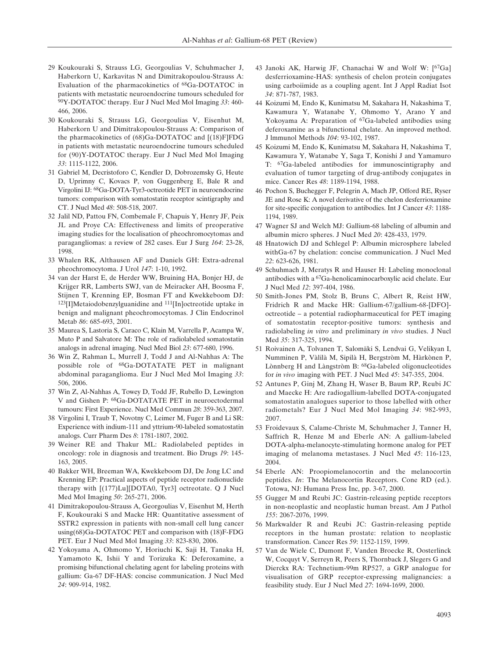- 29 Koukouraki S, Strauss LG, Georgoulias V, Schuhmacher J, Haberkorn U, Karkavitas N and Dimitrakopoulou-Strauss A: Evaluation of the pharmacokinetics of 68Ga-DOTATOC in patients with metastatic neuroendocrine tumours scheduled for 90Y-DOTATOC therapy. Eur J Nucl Med Mol Imaging *33*: 460- 466, 2006.
- 30 Koukouraki S, Strauss LG, Georgoulias V, Eisenhut M, Haberkorn U and Dimitrakopoulou-Strauss A: Comparison of the pharmacokinetics of (68)Ga-DOTATOC and [(18)F]FDG in patients with metastatic neuroendocrine tumours scheduled for (90)Y-DOTATOC therapy. Eur J Nucl Med Mol Imaging *33*: 1115-1122, 2006.
- 31 Gabriel M, Decristoforo C, Kendler D, Dobrozemsky G, Heute D, Uprimny C, Kovacs P, von Guggenberg E, Bale R and Virgolini IJ: 68Ga-DOTA-Tyr3-octreotide PET in neuroendocrine tumors: comparison with somatostatin receptor scintigraphy and CT. J Nucl Med *48*: 508-518, 2007.
- 32 Jalil ND, Pattou FN, Combemale F, Chapuis Y, Henry JF, Peix JL and Proye CA: Effectiveness and limits of preoperative imaging studies for the localisation of pheochromocytomas and paragangliomas: a review of 282 cases. Eur J Surg *164*: 23-28, 1998.
- 33 Whalen RK, Althausen AF and Daniels GH: Extra-adrenal pheochromocytoma. J Urol *147*: 1-10, 1992.
- 34 van der Harst E, de Herder WW, Bruining HA, Bonjer HJ, de Krijger RR, Lamberts SWJ, van de Meiracker AH, Boosma F, Stijnen T, Krenning EP, Bosman FT and Kwekkeboom DJ: 123[I]Metaiodobenzylguanidine and <sup>111</sup>[In]octreotide uptake in benign and malignant pheochromocytomas. J Clin Endocrinol Metab *86*: 685-693, 2001.
- 35 Maurea S, Lastoria S, Caraco C, Klain M, Varrella P, Acampa W, Muto P and Salvatore M: The role of radiolabeled somatostatin analogs in adrenal imaging. Nucl Med Biol *23*: 677-680, 1996.
- 36 Win Z, Rahman L, Murrell J, Todd J and Al-Nahhas A: The possible role of 68Ga-DOTATATE PET in malignant abdominal paraganglioma. Eur J Nucl Med Mol Imaging *33*: 506, 2006.
- 37 Win Z, Al-Nahhas A, Towey D, Todd JF, Rubello D, Lewington V and Gishen P: 68Ga-DOTATATE PET in neuroectodermal tumours: First Experience. Nucl Med Commun *28*: 359-363, 2007.
- 38 Virgolini I, Traub T, Novotny C, Leimer M, Fuger B and Li SR: Experience with indium-111 and yttrium-90-labeled somatostatin analogs. Curr Pharm Des *8*: 1781-1807, 2002.
- 39 Weiner RE and Thakur ML: Radiolabeled peptides in oncology: role in diagnosis and treatment. Bio Drugs *19*: 145- 163, 2005.
- 40 Bakker WH, Breeman WA, Kwekkeboom DJ, De Jong LC and Krenning EP: Practical aspects of peptide receptor radionuclide therapy with [(177)Lu][DOTA0, Tyr3] octreotate. Q J Nucl Med Mol Imaging *50*: 265-271, 2006.
- 41 Dimitrakopoulou-Strauss A, Georgoulias V, Eisenhut M, Herth F, Koukouraki S and Macke HR: Quantitative assessment of SSTR2 expression in patients with non-small cell lung cancer using(68)Ga-DOTATOC PET and comparison with (18)F-FDG PET. Eur J Nucl Med Mol Imaging *33*: 823-830, 2006.
- 42 Yokoyama A, Ohmomo Y, Horiuchi K, Saji H, Tanaka H, Yamamoto K, Ishii Y and Torizuka K: Deferoxamine, a promising bifunctional chelating agent for labeling proteins with gallium: Ga-67 DF-HAS: concise communication. J Nucl Med *24*: 909-914, 1982.
- 43 Janoki AK, Harwig JF, Chanachai W and Wolf W: [67Ga] desferrioxamine-HAS: synthesis of chelon protein conjugates using carboiimide as a coupling agent. Int J Appl Radiat Isot *34*: 871-787, 1983.
- 44 Koizumi M, Endo K, Kunimatsu M, Sakahara H, Nakashima T, Kawamura Y, Watanabe Y, Ohmomo Y, Arano Y and Yokoyama A: Preparation of <sup>67</sup>Ga-labeled antibodies using deferoxamine as a bifunctional chelate. An improved method. J lmmunol Methods *104*: 93-102, 1987.
- 45 Koizumi M, Endo K, Kunimatsu M, Sakahara H, Nakashima T, Kawamura Y, Watanabe Y, Saga T, Konishi J and Yamamuro T: 67Ga-labeled antibodies for immunoscintigraphy and evaluation of tumor targeting of drug-antibody conjugates in mice. Cancer Res *48*: 1189-1194, 1988.
- 46 Pochon S, Buchegger F, Pelegrin A, Mach JP, Offord RE, Ryser JE and Rose K: A novel derivative of the chelon desferrioxamine for site-specific conjugation to antibodies. Int J Cancer *43*: 1188- 1194, 1989.
- 47 Wagner SJ and Welch MJ: Gallium-68 labeling of albumin and albumin micro spheres. J NucI Med *20*: 428-433, 1979.
- 48 Hnatowich DJ and Schlegel P: Albumin microsphere labeled withGa-67 by chelation: concise communication. J Nucl Med *22*: 623-626, 1981.
- 49 Schuhmach J, Meratys R and Hauser H: Labeling monoclonal antibodies with a 67Ga-henolicaminocarboxylic acid chelate. Eur J Nucl Med *12*: 397-404, 1986.
- 50 Smith-Jones PM, Stolz B, Bruns C, Albert R, Reist HW, Fridrich R and Macke HR: Gallium-67/gallium-68-[DFO] octreotide – a potential radiopharmaceutical for PET imaging of somatostatin receptor-positive tumors: synthesis and radiolabeling *in vitro* and preliminary *in vivo* studies. J Nucl Med *35*: 317-325, 1994.
- 51 Roivainen A, Tolvanen T, Salomäki S, Lendvai G, Velikyan I, Numminen P, Vàlilà M, Sipilà H, Bergstròm M, Hàrkònen P, Lònnberg H and Làngstròm B: 68Ga-labeled oligonucleotides for *in vivo* imaging with PET. J Nucl Med *45*: 347-355, 2004.
- 52 Antunes P, Ginj M, Zhang H, Waser B, Baum RP, Reubi JC and Maecke H: Are radiogallium-labelled DOTA-conjugated somatostatin analogues superior to those labelled with other radiometals? Eur J Nucl Med Mol Imaging *34*: 982-993, 2007.
- 53 Froidevaux S, Calame-Christe M, Schuhmacher J, Tanner H, Saffrich R, Henze M and Eberle AN: A gallium-labeled DOTA-alpha-melanocyte-stimulating hormone analog for PET imaging of melanoma metastases. J Nucl Med *45*: 116-123, 2004.
- 54 Eberle AN: Proopiomelanocortin and the melanocortin peptides. *In*: The Melanocortin Receptors. Cone RD (ed.). Totowa, NJ: Humana Press Inc, pp. 3-67, 2000.
- 55 Gugger M and Reubi JC: Gastrin-releasing peptide receptors in non-neoplastic and neoplastic human breast. Am J Pathol *155*: 2067-2076, 1999.
- 56 Markwalder R and Reubi JC: Gastrin-releasing peptide receptors in the human prostate: relation to neoplastic transformation. Cancer Res *59*: 1152-1159, 1999.
- 57 Van de Wiele C, Dumont F, Vanden Broecke R, Oosterlinck W, Cocquyt V, Serreyn R, Peers S, Thornback J, Slegers G and Dierckx RA: Technetium-99m RP527, a GRP analogue for visualisation of GRP receptor-expressing malignancies: a feasibility study. Eur J Nucl Med *27*: 1694-1699, 2000.